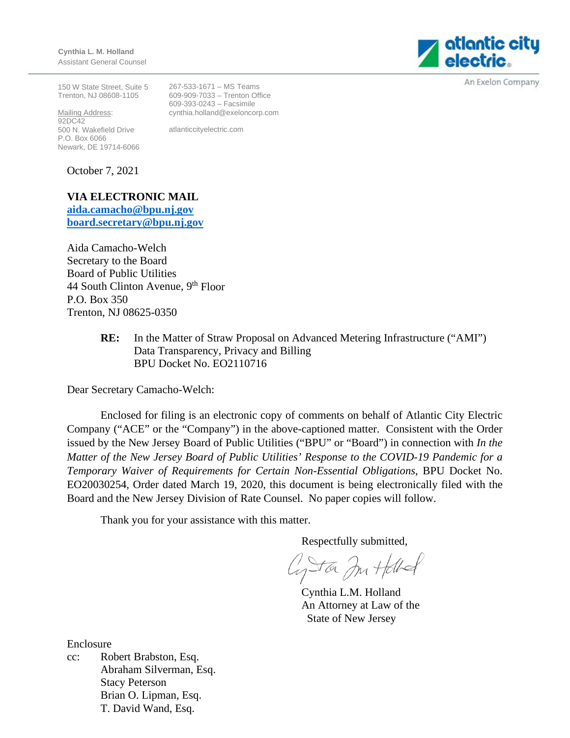**Cynthia L. M. Holland** Assistant General Counsel

150 W State Street, Suite 5 Trenton, NJ 08608-1105

Mailing Address: 92DC42 500 N. Wakefield Drive P.O. Box 6066 Newark, DE 19714-6066 267-533-1671 – MS Teams 609-909-7033 – Trenton Office 609-393-0243 – Facsimile cynthia.holland@exeloncorp.com

atlanticcityelectric.com

October 7, 2021

**VIA ELECTRONIC MAIL aida.camacho@bpu.nj.gov board.secretary@bpu.nj.gov**

Aida Camacho-Welch Secretary to the Board Board of Public Utilities 44 South Clinton Avenue, 9<sup>th</sup> Floor P.O. Box 350 Trenton, NJ 08625-0350

> **RE:** In the Matter of Straw Proposal on Advanced Metering Infrastructure ("AMI") Data Transparency, Privacy and Billing BPU Docket No. EO2110716

Dear Secretary Camacho-Welch:

Enclosed for filing is an electronic copy of comments on behalf of Atlantic City Electric Company ("ACE" or the "Company") in the above-captioned matter. Consistent with the Order issued by the New Jersey Board of Public Utilities ("BPU" or "Board") in connection with *In the Matter of the New Jersey Board of Public Utilities' Response to the COVID-19 Pandemic for a Temporary Waiver of Requirements for Certain Non-Essential Obligations*, BPU Docket No. EO20030254, Order dated March 19, 2020, this document is being electronically filed with the Board and the New Jersey Division of Rate Counsel. No paper copies will follow.

Thank you for your assistance with this matter.

Respectfully submitted,

Cysta In Holled

Cynthia L.M. Holland An Attorney at Law of the State of New Jersey

Enclosure

cc: Robert Brabston, Esq. Abraham Silverman, Esq. Stacy Peterson Brian O. Lipman, Esq. T. David Wand, Esq.

atlantic city<br>| electric

An Exelon Company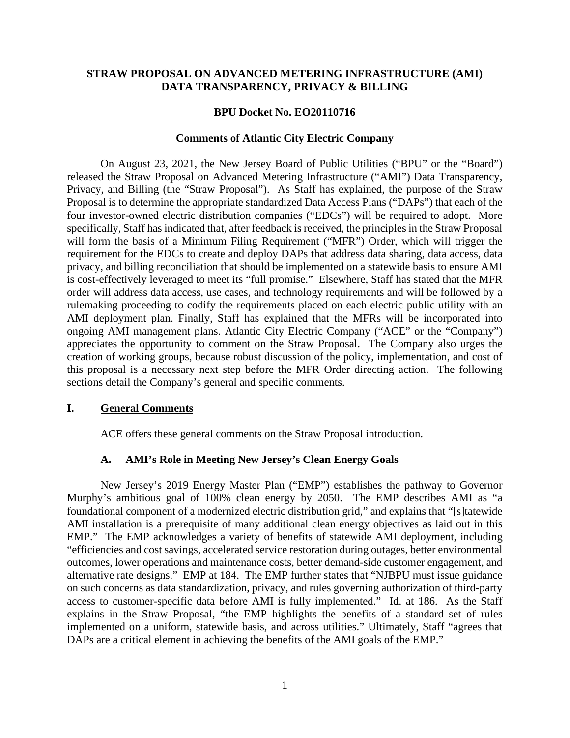### **STRAW PROPOSAL ON ADVANCED METERING INFRASTRUCTURE (AMI) DATA TRANSPARENCY, PRIVACY & BILLING**

### **BPU Docket No. EO20110716**

#### **Comments of Atlantic City Electric Company**

On August 23, 2021, the New Jersey Board of Public Utilities ("BPU" or the "Board") released the Straw Proposal on Advanced Metering Infrastructure ("AMI") Data Transparency, Privacy, and Billing (the "Straw Proposal"). As Staff has explained, the purpose of the Straw Proposal is to determine the appropriate standardized Data Access Plans ("DAPs") that each of the four investor-owned electric distribution companies ("EDCs") will be required to adopt. More specifically, Staff has indicated that, after feedback is received, the principles in the Straw Proposal will form the basis of a Minimum Filing Requirement ("MFR") Order, which will trigger the requirement for the EDCs to create and deploy DAPs that address data sharing, data access, data privacy, and billing reconciliation that should be implemented on a statewide basis to ensure AMI is cost-effectively leveraged to meet its "full promise." Elsewhere, Staff has stated that the MFR order will address data access, use cases, and technology requirements and will be followed by a rulemaking proceeding to codify the requirements placed on each electric public utility with an AMI deployment plan. Finally, Staff has explained that the MFRs will be incorporated into ongoing AMI management plans. Atlantic City Electric Company ("ACE" or the "Company") appreciates the opportunity to comment on the Straw Proposal. The Company also urges the creation of working groups, because robust discussion of the policy, implementation, and cost of this proposal is a necessary next step before the MFR Order directing action. The following sections detail the Company's general and specific comments.

#### **I. General Comments**

ACE offers these general comments on the Straw Proposal introduction.

#### **A. AMI's Role in Meeting New Jersey's Clean Energy Goals**

New Jersey's 2019 Energy Master Plan ("EMP") establishes the pathway to Governor Murphy's ambitious goal of 100% clean energy by 2050. The EMP describes AMI as "a foundational component of a modernized electric distribution grid," and explains that "[s]tatewide AMI installation is a prerequisite of many additional clean energy objectives as laid out in this EMP." The EMP acknowledges a variety of benefits of statewide AMI deployment, including "efficiencies and cost savings, accelerated service restoration during outages, better environmental outcomes, lower operations and maintenance costs, better demand-side customer engagement, and alternative rate designs." EMP at 184. The EMP further states that "NJBPU must issue guidance on such concerns as data standardization, privacy, and rules governing authorization of third-party access to customer-specific data before AMI is fully implemented." Id. at 186. As the Staff explains in the Straw Proposal, "the EMP highlights the benefits of a standard set of rules implemented on a uniform, statewide basis, and across utilities." Ultimately, Staff "agrees that DAPs are a critical element in achieving the benefits of the AMI goals of the EMP."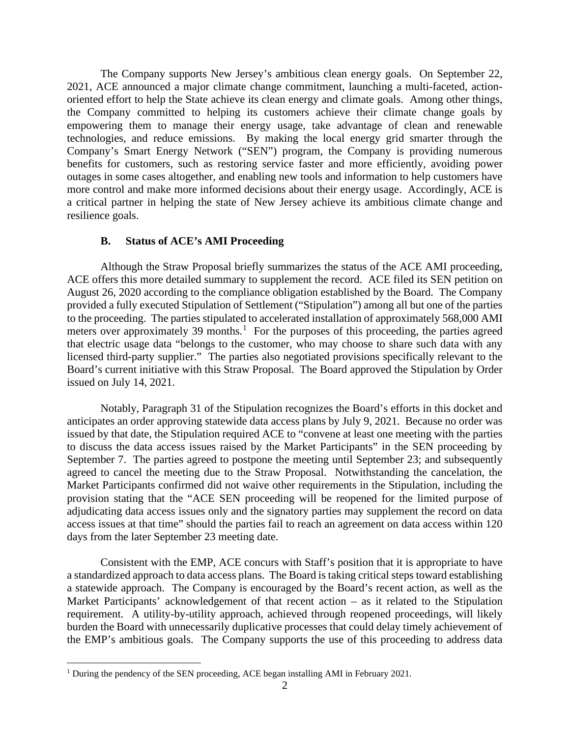The Company supports New Jersey's ambitious clean energy goals. On September 22, 2021, ACE announced a major climate change commitment, launching a multi-faceted, actionoriented effort to help the State achieve its clean energy and climate goals. Among other things, the Company committed to helping its customers achieve their climate change goals by empowering them to manage their energy usage, take advantage of clean and renewable technologies, and reduce emissions. By making the local energy grid smarter through the Company's Smart Energy Network ("SEN") program, the Company is providing numerous benefits for customers, such as restoring service faster and more efficiently, avoiding power outages in some cases altogether, and enabling new tools and information to help customers have more control and make more informed decisions about their energy usage. Accordingly, ACE is a critical partner in helping the state of New Jersey achieve its ambitious climate change and resilience goals.

### **B. Status of ACE's AMI Proceeding**

Although the Straw Proposal briefly summarizes the status of the ACE AMI proceeding, ACE offers this more detailed summary to supplement the record. ACE filed its SEN petition on August 26, 2020 according to the compliance obligation established by the Board. The Company provided a fully executed Stipulation of Settlement ("Stipulation") among all but one of the parties to the proceeding. The parties stipulated to accelerated installation of approximately 568,000 AMI meters over approximately 39 months.<sup>1</sup> For the purposes of this proceeding, the parties agreed that electric usage data "belongs to the customer, who may choose to share such data with any licensed third-party supplier." The parties also negotiated provisions specifically relevant to the Board's current initiative with this Straw Proposal. The Board approved the Stipulation by Order issued on July 14, 2021.

Notably, Paragraph 31 of the Stipulation recognizes the Board's efforts in this docket and anticipates an order approving statewide data access plans by July 9, 2021. Because no order was issued by that date, the Stipulation required ACE to "convene at least one meeting with the parties to discuss the data access issues raised by the Market Participants" in the SEN proceeding by September 7. The parties agreed to postpone the meeting until September 23; and subsequently agreed to cancel the meeting due to the Straw Proposal. Notwithstanding the cancelation, the Market Participants confirmed did not waive other requirements in the Stipulation, including the provision stating that the "ACE SEN proceeding will be reopened for the limited purpose of adjudicating data access issues only and the signatory parties may supplement the record on data access issues at that time" should the parties fail to reach an agreement on data access within 120 days from the later September 23 meeting date.

Consistent with the EMP, ACE concurs with Staff's position that it is appropriate to have a standardized approach to data access plans. The Board is taking critical steps toward establishing a statewide approach. The Company is encouraged by the Board's recent action, as well as the Market Participants' acknowledgement of that recent action – as it related to the Stipulation requirement. A utility-by-utility approach, achieved through reopened proceedings, will likely burden the Board with unnecessarily duplicative processes that could delay timely achievement of the EMP's ambitious goals. The Company supports the use of this proceeding to address data

<sup>&</sup>lt;sup>1</sup> During the pendency of the SEN proceeding, ACE began installing AMI in February 2021.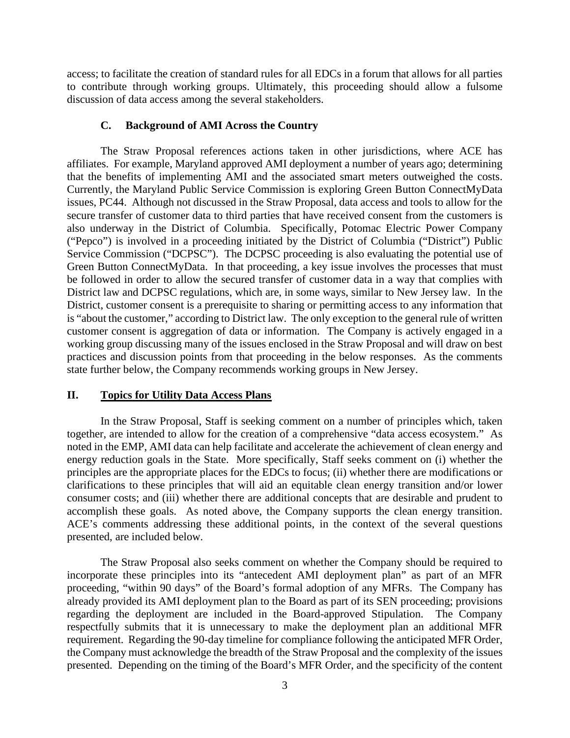access; to facilitate the creation of standard rules for all EDCs in a forum that allows for all parties to contribute through working groups. Ultimately, this proceeding should allow a fulsome discussion of data access among the several stakeholders.

#### **C. Background of AMI Across the Country**

The Straw Proposal references actions taken in other jurisdictions, where ACE has affiliates. For example, Maryland approved AMI deployment a number of years ago; determining that the benefits of implementing AMI and the associated smart meters outweighed the costs. Currently, the Maryland Public Service Commission is exploring Green Button ConnectMyData issues, PC44. Although not discussed in the Straw Proposal, data access and tools to allow for the secure transfer of customer data to third parties that have received consent from the customers is also underway in the District of Columbia. Specifically, Potomac Electric Power Company ("Pepco") is involved in a proceeding initiated by the District of Columbia ("District") Public Service Commission ("DCPSC"). The DCPSC proceeding is also evaluating the potential use of Green Button ConnectMyData. In that proceeding, a key issue involves the processes that must be followed in order to allow the secured transfer of customer data in a way that complies with District law and DCPSC regulations, which are, in some ways, similar to New Jersey law. In the District, customer consent is a prerequisite to sharing or permitting access to any information that is "about the customer," according to District law. The only exception to the general rule of written customer consent is aggregation of data or information. The Company is actively engaged in a working group discussing many of the issues enclosed in the Straw Proposal and will draw on best practices and discussion points from that proceeding in the below responses. As the comments state further below, the Company recommends working groups in New Jersey.

### **II. Topics for Utility Data Access Plans**

In the Straw Proposal, Staff is seeking comment on a number of principles which, taken together, are intended to allow for the creation of a comprehensive "data access ecosystem." As noted in the EMP, AMI data can help facilitate and accelerate the achievement of clean energy and energy reduction goals in the State. More specifically, Staff seeks comment on (i) whether the principles are the appropriate places for the EDCs to focus; (ii) whether there are modifications or clarifications to these principles that will aid an equitable clean energy transition and/or lower consumer costs; and (iii) whether there are additional concepts that are desirable and prudent to accomplish these goals. As noted above, the Company supports the clean energy transition. ACE's comments addressing these additional points, in the context of the several questions presented, are included below.

The Straw Proposal also seeks comment on whether the Company should be required to incorporate these principles into its "antecedent AMI deployment plan" as part of an MFR proceeding, "within 90 days" of the Board's formal adoption of any MFRs. The Company has already provided its AMI deployment plan to the Board as part of its SEN proceeding; provisions regarding the deployment are included in the Board-approved Stipulation. The Company respectfully submits that it is unnecessary to make the deployment plan an additional MFR requirement. Regarding the 90-day timeline for compliance following the anticipated MFR Order, the Company must acknowledge the breadth of the Straw Proposal and the complexity of the issues presented. Depending on the timing of the Board's MFR Order, and the specificity of the content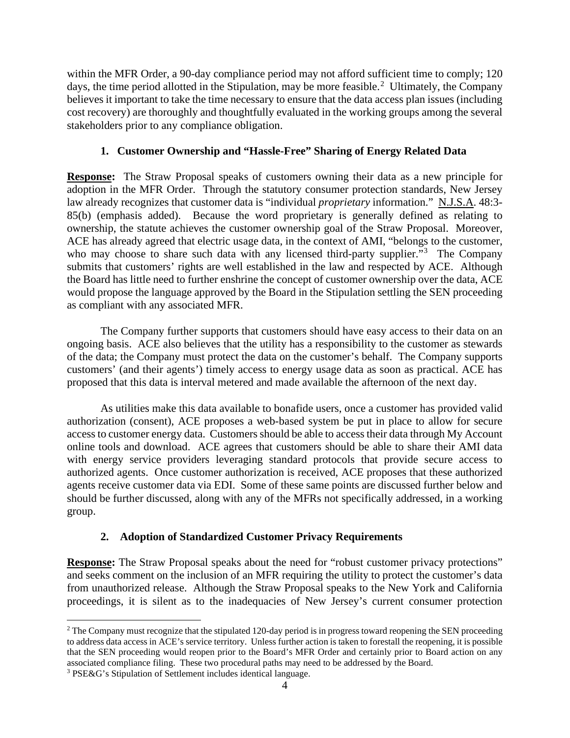within the MFR Order, a 90-day compliance period may not afford sufficient time to comply; 120 days, the time period allotted in the Stipulation, may be more feasible.<sup>2</sup> Ultimately, the Company believes it important to take the time necessary to ensure that the data access plan issues (including cost recovery) are thoroughly and thoughtfully evaluated in the working groups among the several stakeholders prior to any compliance obligation.

# **1. Customer Ownership and "Hassle-Free" Sharing of Energy Related Data**

**Response:** The Straw Proposal speaks of customers owning their data as a new principle for adoption in the MFR Order. Through the statutory consumer protection standards, New Jersey law already recognizes that customer data is "individual *proprietary* information." N.J.S.A. 48:3- 85(b) (emphasis added). Because the word proprietary is generally defined as relating to ownership, the statute achieves the customer ownership goal of the Straw Proposal. Moreover, ACE has already agreed that electric usage data, in the context of AMI, "belongs to the customer, who may choose to share such data with any licensed third-party supplier."<sup>3</sup> The Company submits that customers' rights are well established in the law and respected by ACE. Although the Board has little need to further enshrine the concept of customer ownership over the data, ACE would propose the language approved by the Board in the Stipulation settling the SEN proceeding as compliant with any associated MFR.

The Company further supports that customers should have easy access to their data on an ongoing basis. ACE also believes that the utility has a responsibility to the customer as stewards of the data; the Company must protect the data on the customer's behalf. The Company supports customers' (and their agents') timely access to energy usage data as soon as practical. ACE has proposed that this data is interval metered and made available the afternoon of the next day.

As utilities make this data available to bonafide users, once a customer has provided valid authorization (consent), ACE proposes a web-based system be put in place to allow for secure access to customer energy data. Customers should be able to access their data through My Account online tools and download. ACE agrees that customers should be able to share their AMI data with energy service providers leveraging standard protocols that provide secure access to authorized agents. Once customer authorization is received, ACE proposes that these authorized agents receive customer data via EDI. Some of these same points are discussed further below and should be further discussed, along with any of the MFRs not specifically addressed, in a working group.

# **2. Adoption of Standardized Customer Privacy Requirements**

**Response:** The Straw Proposal speaks about the need for "robust customer privacy protections" and seeks comment on the inclusion of an MFR requiring the utility to protect the customer's data from unauthorized release. Although the Straw Proposal speaks to the New York and California proceedings, it is silent as to the inadequacies of New Jersey's current consumer protection

<sup>&</sup>lt;sup>2</sup> The Company must recognize that the stipulated 120-day period is in progress toward reopening the SEN proceeding to address data access in ACE's service territory. Unless further action is taken to forestall the reopening, it is possible that the SEN proceeding would reopen prior to the Board's MFR Order and certainly prior to Board action on any associated compliance filing. These two procedural paths may need to be addressed by the Board. 3 PSE&G's Stipulation of Settlement includes identical language.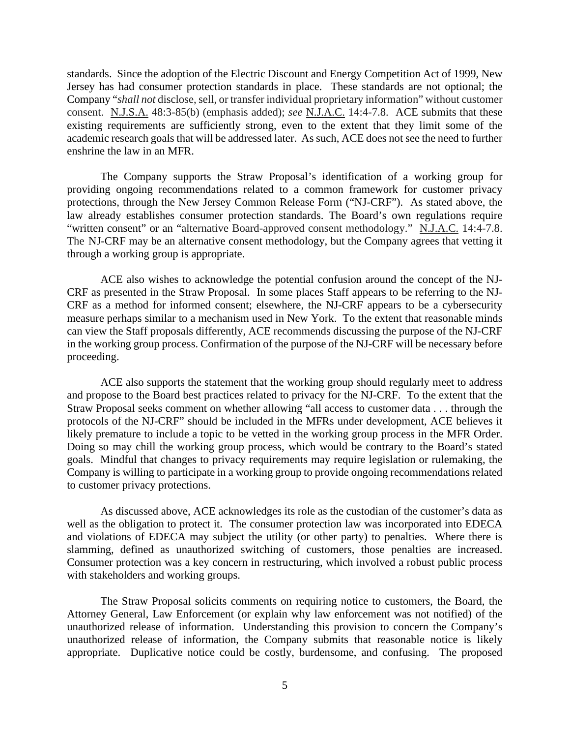standards. Since the adoption of the Electric Discount and Energy Competition Act of 1999, New Jersey has had consumer protection standards in place. These standards are not optional; the Company "*shall not* disclose, sell, or transfer individual proprietary information" without customer consent. N.J.S.A. 48:3-85(b) (emphasis added); *see* N.J.A.C. 14:4-7.8. ACE submits that these existing requirements are sufficiently strong, even to the extent that they limit some of the academic research goals that will be addressed later. As such, ACE does not see the need to further enshrine the law in an MFR.

The Company supports the Straw Proposal's identification of a working group for providing ongoing recommendations related to a common framework for customer privacy protections, through the New Jersey Common Release Form ("NJ-CRF"). As stated above, the law already establishes consumer protection standards. The Board's own regulations require "written consent" or an "alternative Board-approved consent methodology." N.J.A.C. 14:4-7.8. The NJ-CRF may be an alternative consent methodology, but the Company agrees that vetting it through a working group is appropriate.

ACE also wishes to acknowledge the potential confusion around the concept of the NJ-CRF as presented in the Straw Proposal. In some places Staff appears to be referring to the NJ-CRF as a method for informed consent; elsewhere, the NJ-CRF appears to be a cybersecurity measure perhaps similar to a mechanism used in New York. To the extent that reasonable minds can view the Staff proposals differently, ACE recommends discussing the purpose of the NJ-CRF in the working group process. Confirmation of the purpose of the NJ-CRF will be necessary before proceeding.

ACE also supports the statement that the working group should regularly meet to address and propose to the Board best practices related to privacy for the NJ-CRF. To the extent that the Straw Proposal seeks comment on whether allowing "all access to customer data . . . through the protocols of the NJ-CRF" should be included in the MFRs under development, ACE believes it likely premature to include a topic to be vetted in the working group process in the MFR Order. Doing so may chill the working group process, which would be contrary to the Board's stated goals. Mindful that changes to privacy requirements may require legislation or rulemaking, the Company is willing to participate in a working group to provide ongoing recommendations related to customer privacy protections.

As discussed above, ACE acknowledges its role as the custodian of the customer's data as well as the obligation to protect it. The consumer protection law was incorporated into EDECA and violations of EDECA may subject the utility (or other party) to penalties. Where there is slamming, defined as unauthorized switching of customers, those penalties are increased. Consumer protection was a key concern in restructuring, which involved a robust public process with stakeholders and working groups.

The Straw Proposal solicits comments on requiring notice to customers, the Board, the Attorney General, Law Enforcement (or explain why law enforcement was not notified) of the unauthorized release of information. Understanding this provision to concern the Company's unauthorized release of information, the Company submits that reasonable notice is likely appropriate. Duplicative notice could be costly, burdensome, and confusing. The proposed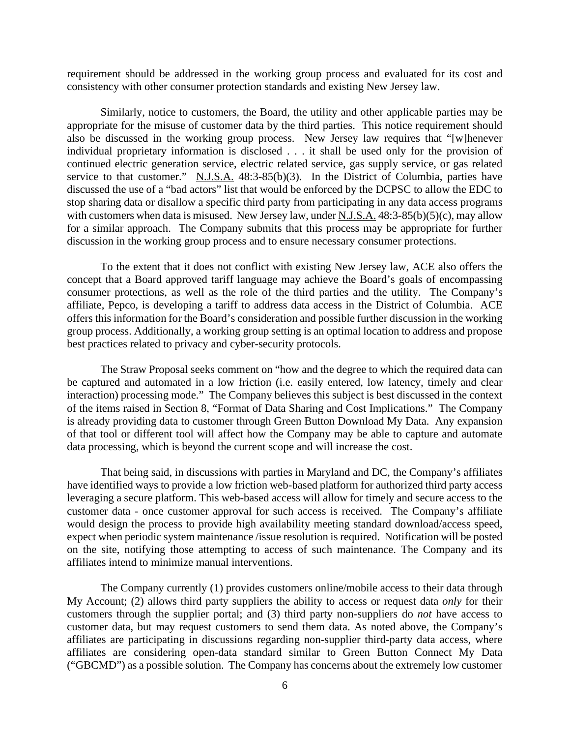requirement should be addressed in the working group process and evaluated for its cost and consistency with other consumer protection standards and existing New Jersey law.

Similarly, notice to customers, the Board, the utility and other applicable parties may be appropriate for the misuse of customer data by the third parties. This notice requirement should also be discussed in the working group process. New Jersey law requires that "[w]henever individual proprietary information is disclosed . . . it shall be used only for the provision of continued electric generation service, electric related service, gas supply service, or gas related service to that customer." N.J.S.A. 48:3-85(b)(3). In the District of Columbia, parties have discussed the use of a "bad actors" list that would be enforced by the DCPSC to allow the EDC to stop sharing data or disallow a specific third party from participating in any data access programs with customers when data is misused. New Jersey law, under N.J.S.A. 48:3-85(b)(5)(c), may allow for a similar approach. The Company submits that this process may be appropriate for further discussion in the working group process and to ensure necessary consumer protections.

To the extent that it does not conflict with existing New Jersey law, ACE also offers the concept that a Board approved tariff language may achieve the Board's goals of encompassing consumer protections, as well as the role of the third parties and the utility. The Company's affiliate, Pepco, is developing a tariff to address data access in the District of Columbia. ACE offers this information for the Board's consideration and possible further discussion in the working group process. Additionally, a working group setting is an optimal location to address and propose best practices related to privacy and cyber-security protocols.

The Straw Proposal seeks comment on "how and the degree to which the required data can be captured and automated in a low friction (i.e. easily entered, low latency, timely and clear interaction) processing mode." The Company believes this subject is best discussed in the context of the items raised in Section 8, "Format of Data Sharing and Cost Implications." The Company is already providing data to customer through Green Button Download My Data. Any expansion of that tool or different tool will affect how the Company may be able to capture and automate data processing, which is beyond the current scope and will increase the cost.

That being said, in discussions with parties in Maryland and DC, the Company's affiliates have identified ways to provide a low friction web-based platform for authorized third party access leveraging a secure platform. This web-based access will allow for timely and secure access to the customer data - once customer approval for such access is received. The Company's affiliate would design the process to provide high availability meeting standard download/access speed, expect when periodic system maintenance /issue resolution is required. Notification will be posted on the site, notifying those attempting to access of such maintenance. The Company and its affiliates intend to minimize manual interventions.

The Company currently (1) provides customers online/mobile access to their data through My Account; (2) allows third party suppliers the ability to access or request data *only* for their customers through the supplier portal; and (3) third party non-suppliers do *not* have access to customer data, but may request customers to send them data. As noted above, the Company's affiliates are participating in discussions regarding non-supplier third-party data access, where affiliates are considering open-data standard similar to Green Button Connect My Data ("GBCMD") as a possible solution. The Company has concerns about the extremely low customer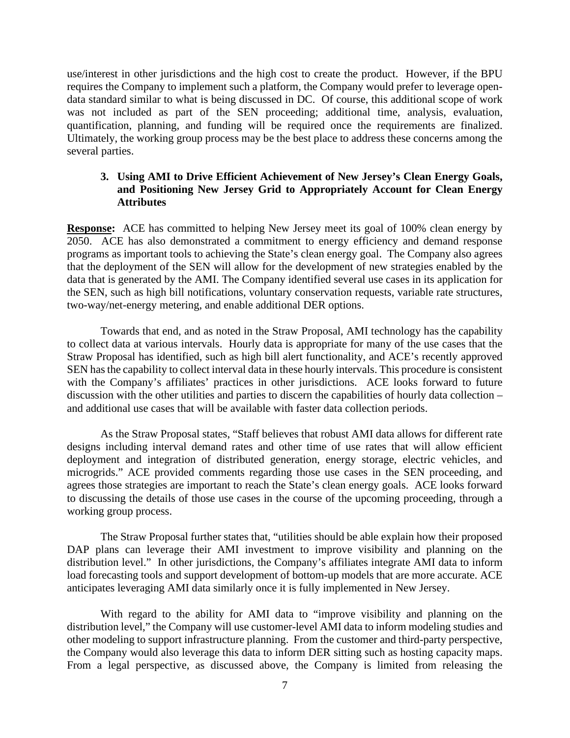use/interest in other jurisdictions and the high cost to create the product. However, if the BPU requires the Company to implement such a platform, the Company would prefer to leverage opendata standard similar to what is being discussed in DC. Of course, this additional scope of work was not included as part of the SEN proceeding; additional time, analysis, evaluation, quantification, planning, and funding will be required once the requirements are finalized. Ultimately, the working group process may be the best place to address these concerns among the several parties.

### **3. Using AMI to Drive Efficient Achievement of New Jersey's Clean Energy Goals, and Positioning New Jersey Grid to Appropriately Account for Clean Energy Attributes**

**Response:** ACE has committed to helping New Jersey meet its goal of 100% clean energy by 2050. ACE has also demonstrated a commitment to energy efficiency and demand response programs as important tools to achieving the State's clean energy goal. The Company also agrees that the deployment of the SEN will allow for the development of new strategies enabled by the data that is generated by the AMI. The Company identified several use cases in its application for the SEN, such as high bill notifications, voluntary conservation requests, variable rate structures, two-way/net-energy metering, and enable additional DER options.

Towards that end, and as noted in the Straw Proposal, AMI technology has the capability to collect data at various intervals. Hourly data is appropriate for many of the use cases that the Straw Proposal has identified, such as high bill alert functionality, and ACE's recently approved SEN has the capability to collect interval data in these hourly intervals. This procedure is consistent with the Company's affiliates' practices in other jurisdictions. ACE looks forward to future discussion with the other utilities and parties to discern the capabilities of hourly data collection – and additional use cases that will be available with faster data collection periods.

As the Straw Proposal states, "Staff believes that robust AMI data allows for different rate designs including interval demand rates and other time of use rates that will allow efficient deployment and integration of distributed generation, energy storage, electric vehicles, and microgrids." ACE provided comments regarding those use cases in the SEN proceeding, and agrees those strategies are important to reach the State's clean energy goals. ACE looks forward to discussing the details of those use cases in the course of the upcoming proceeding, through a working group process.

The Straw Proposal further states that, "utilities should be able explain how their proposed DAP plans can leverage their AMI investment to improve visibility and planning on the distribution level." In other jurisdictions, the Company's affiliates integrate AMI data to inform load forecasting tools and support development of bottom-up models that are more accurate. ACE anticipates leveraging AMI data similarly once it is fully implemented in New Jersey.

With regard to the ability for AMI data to "improve visibility and planning on the distribution level," the Company will use customer-level AMI data to inform modeling studies and other modeling to support infrastructure planning. From the customer and third-party perspective, the Company would also leverage this data to inform DER sitting such as hosting capacity maps. From a legal perspective, as discussed above, the Company is limited from releasing the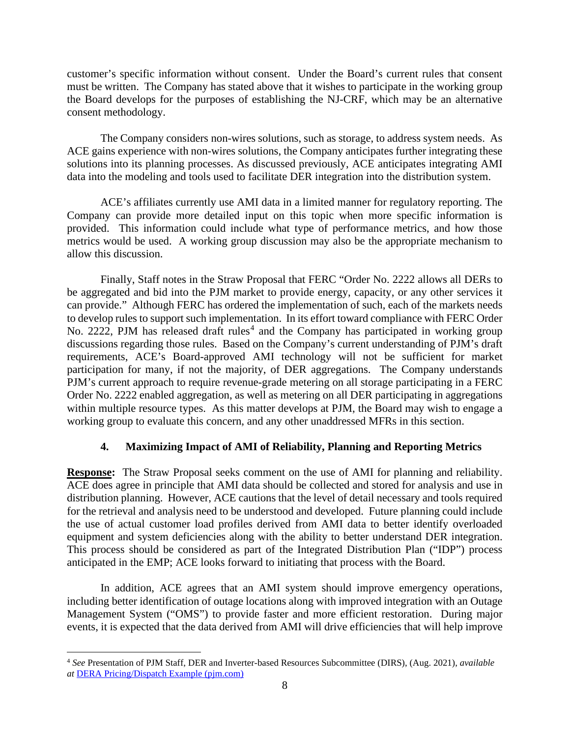customer's specific information without consent. Under the Board's current rules that consent must be written. The Company has stated above that it wishes to participate in the working group the Board develops for the purposes of establishing the NJ-CRF, which may be an alternative consent methodology.

The Company considers non-wires solutions, such as storage, to address system needs. As ACE gains experience with non-wires solutions, the Company anticipates further integrating these solutions into its planning processes. As discussed previously, ACE anticipates integrating AMI data into the modeling and tools used to facilitate DER integration into the distribution system.

ACE's affiliates currently use AMI data in a limited manner for regulatory reporting. The Company can provide more detailed input on this topic when more specific information is provided. This information could include what type of performance metrics, and how those metrics would be used. A working group discussion may also be the appropriate mechanism to allow this discussion.

Finally, Staff notes in the Straw Proposal that FERC "Order No. 2222 allows all DERs to be aggregated and bid into the PJM market to provide energy, capacity, or any other services it can provide." Although FERC has ordered the implementation of such, each of the markets needs to develop rules to support such implementation. In its effort toward compliance with FERC Order No. 2222, PJM has released draft rules<sup>4</sup> and the Company has participated in working group discussions regarding those rules. Based on the Company's current understanding of PJM's draft requirements, ACE's Board-approved AMI technology will not be sufficient for market participation for many, if not the majority, of DER aggregations. The Company understands PJM's current approach to require revenue-grade metering on all storage participating in a FERC Order No. 2222 enabled aggregation, as well as metering on all DER participating in aggregations within multiple resource types. As this matter develops at PJM, the Board may wish to engage a working group to evaluate this concern, and any other unaddressed MFRs in this section.

# **4. Maximizing Impact of AMI of Reliability, Planning and Reporting Metrics**

**Response:** The Straw Proposal seeks comment on the use of AMI for planning and reliability. ACE does agree in principle that AMI data should be collected and stored for analysis and use in distribution planning. However, ACE cautions that the level of detail necessary and tools required for the retrieval and analysis need to be understood and developed. Future planning could include the use of actual customer load profiles derived from AMI data to better identify overloaded equipment and system deficiencies along with the ability to better understand DER integration. This process should be considered as part of the Integrated Distribution Plan ("IDP") process anticipated in the EMP; ACE looks forward to initiating that process with the Board.

In addition, ACE agrees that an AMI system should improve emergency operations, including better identification of outage locations along with improved integration with an Outage Management System ("OMS") to provide faster and more efficient restoration. During major events, it is expected that the data derived from AMI will drive efficiencies that will help improve

<sup>4</sup> *See* Presentation of PJM Staff, DER and Inverter-based Resources Subcommittee (DIRS), (Aug. 2021), *available at* DERA Pricing/Dispatch Example (pjm.com)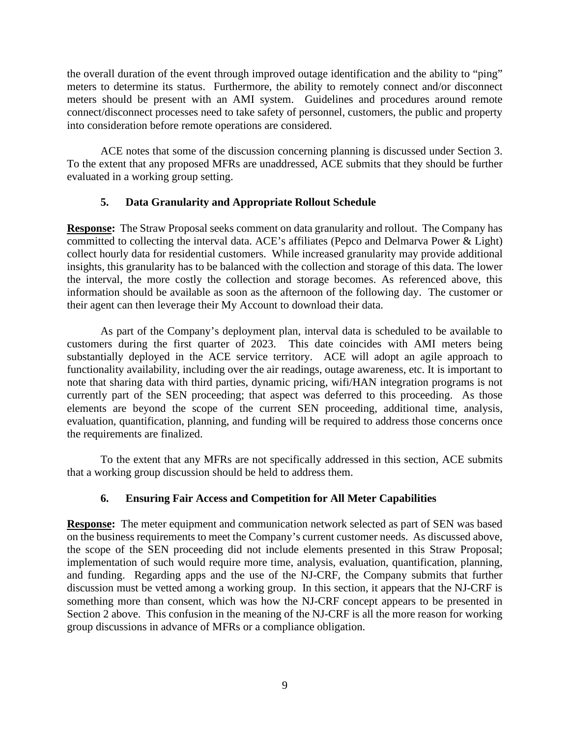the overall duration of the event through improved outage identification and the ability to "ping" meters to determine its status. Furthermore, the ability to remotely connect and/or disconnect meters should be present with an AMI system. Guidelines and procedures around remote connect/disconnect processes need to take safety of personnel, customers, the public and property into consideration before remote operations are considered.

ACE notes that some of the discussion concerning planning is discussed under Section 3. To the extent that any proposed MFRs are unaddressed, ACE submits that they should be further evaluated in a working group setting.

# **5. Data Granularity and Appropriate Rollout Schedule**

**Response:** The Straw Proposal seeks comment on data granularity and rollout. The Company has committed to collecting the interval data. ACE's affiliates (Pepco and Delmarva Power & Light) collect hourly data for residential customers. While increased granularity may provide additional insights, this granularity has to be balanced with the collection and storage of this data. The lower the interval, the more costly the collection and storage becomes. As referenced above, this information should be available as soon as the afternoon of the following day. The customer or their agent can then leverage their My Account to download their data.

As part of the Company's deployment plan, interval data is scheduled to be available to customers during the first quarter of 2023. This date coincides with AMI meters being substantially deployed in the ACE service territory. ACE will adopt an agile approach to functionality availability, including over the air readings, outage awareness, etc. It is important to note that sharing data with third parties, dynamic pricing, wifi/HAN integration programs is not currently part of the SEN proceeding; that aspect was deferred to this proceeding. As those elements are beyond the scope of the current SEN proceeding, additional time, analysis, evaluation, quantification, planning, and funding will be required to address those concerns once the requirements are finalized.

To the extent that any MFRs are not specifically addressed in this section, ACE submits that a working group discussion should be held to address them.

# **6. Ensuring Fair Access and Competition for All Meter Capabilities**

**Response:** The meter equipment and communication network selected as part of SEN was based on the business requirements to meet the Company's current customer needs. As discussed above, the scope of the SEN proceeding did not include elements presented in this Straw Proposal; implementation of such would require more time, analysis, evaluation, quantification, planning, and funding. Regarding apps and the use of the NJ-CRF, the Company submits that further discussion must be vetted among a working group. In this section, it appears that the NJ-CRF is something more than consent, which was how the NJ-CRF concept appears to be presented in Section 2 above. This confusion in the meaning of the NJ-CRF is all the more reason for working group discussions in advance of MFRs or a compliance obligation.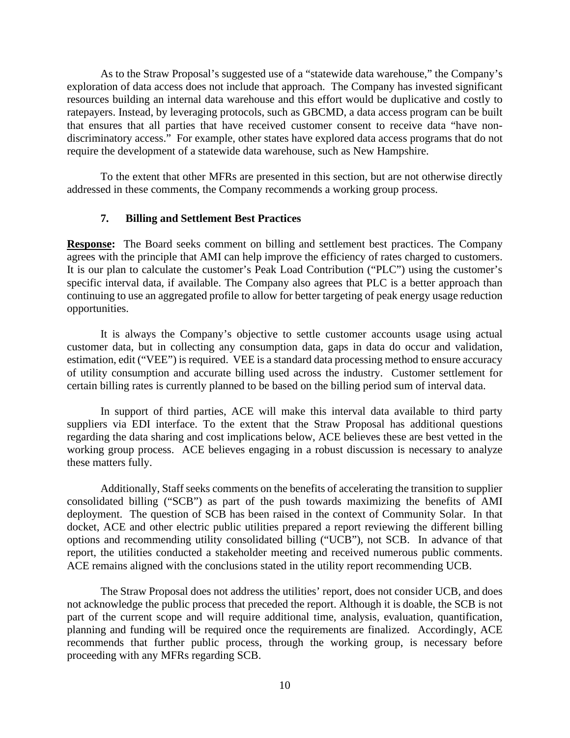As to the Straw Proposal's suggested use of a "statewide data warehouse," the Company's exploration of data access does not include that approach. The Company has invested significant resources building an internal data warehouse and this effort would be duplicative and costly to ratepayers. Instead, by leveraging protocols, such as GBCMD, a data access program can be built that ensures that all parties that have received customer consent to receive data "have nondiscriminatory access." For example, other states have explored data access programs that do not require the development of a statewide data warehouse, such as New Hampshire.

To the extent that other MFRs are presented in this section, but are not otherwise directly addressed in these comments, the Company recommends a working group process.

#### **7. Billing and Settlement Best Practices**

**Response:** The Board seeks comment on billing and settlement best practices. The Company agrees with the principle that AMI can help improve the efficiency of rates charged to customers. It is our plan to calculate the customer's Peak Load Contribution ("PLC") using the customer's specific interval data, if available. The Company also agrees that PLC is a better approach than continuing to use an aggregated profile to allow for better targeting of peak energy usage reduction opportunities.

It is always the Company's objective to settle customer accounts usage using actual customer data, but in collecting any consumption data, gaps in data do occur and validation, estimation, edit ("VEE") is required. VEE is a standard data processing method to ensure accuracy of utility consumption and accurate billing used across the industry. Customer settlement for certain billing rates is currently planned to be based on the billing period sum of interval data.

In support of third parties, ACE will make this interval data available to third party suppliers via EDI interface. To the extent that the Straw Proposal has additional questions regarding the data sharing and cost implications below, ACE believes these are best vetted in the working group process. ACE believes engaging in a robust discussion is necessary to analyze these matters fully.

Additionally, Staff seeks comments on the benefits of accelerating the transition to supplier consolidated billing ("SCB") as part of the push towards maximizing the benefits of AMI deployment. The question of SCB has been raised in the context of Community Solar. In that docket, ACE and other electric public utilities prepared a report reviewing the different billing options and recommending utility consolidated billing ("UCB"), not SCB. In advance of that report, the utilities conducted a stakeholder meeting and received numerous public comments. ACE remains aligned with the conclusions stated in the utility report recommending UCB.

The Straw Proposal does not address the utilities' report, does not consider UCB, and does not acknowledge the public process that preceded the report. Although it is doable, the SCB is not part of the current scope and will require additional time, analysis, evaluation, quantification, planning and funding will be required once the requirements are finalized. Accordingly, ACE recommends that further public process, through the working group, is necessary before proceeding with any MFRs regarding SCB.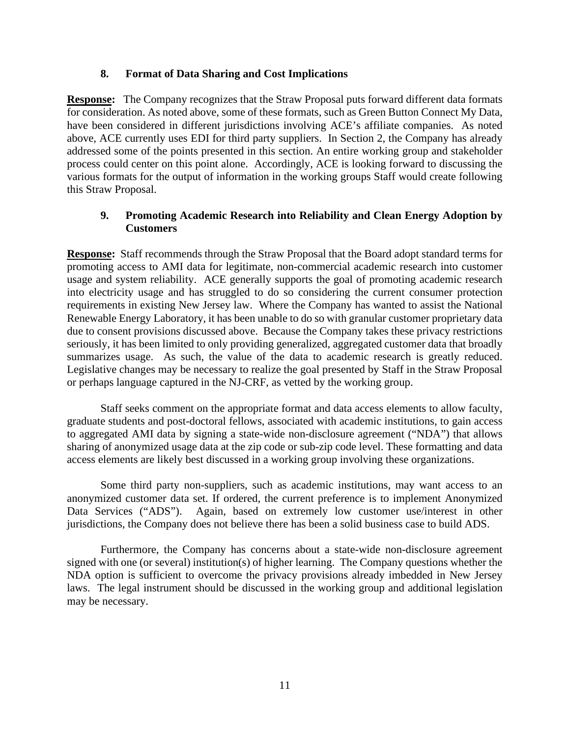### **8. Format of Data Sharing and Cost Implications**

**Response:** The Company recognizes that the Straw Proposal puts forward different data formats for consideration. As noted above, some of these formats, such as Green Button Connect My Data, have been considered in different jurisdictions involving ACE's affiliate companies. As noted above, ACE currently uses EDI for third party suppliers. In Section 2, the Company has already addressed some of the points presented in this section. An entire working group and stakeholder process could center on this point alone. Accordingly, ACE is looking forward to discussing the various formats for the output of information in the working groups Staff would create following this Straw Proposal.

# **9. Promoting Academic Research into Reliability and Clean Energy Adoption by Customers**

**Response:** Staff recommends through the Straw Proposal that the Board adopt standard terms for promoting access to AMI data for legitimate, non-commercial academic research into customer usage and system reliability. ACE generally supports the goal of promoting academic research into electricity usage and has struggled to do so considering the current consumer protection requirements in existing New Jersey law. Where the Company has wanted to assist the National Renewable Energy Laboratory, it has been unable to do so with granular customer proprietary data due to consent provisions discussed above. Because the Company takes these privacy restrictions seriously, it has been limited to only providing generalized, aggregated customer data that broadly summarizes usage. As such, the value of the data to academic research is greatly reduced. Legislative changes may be necessary to realize the goal presented by Staff in the Straw Proposal or perhaps language captured in the NJ-CRF, as vetted by the working group.

Staff seeks comment on the appropriate format and data access elements to allow faculty, graduate students and post-doctoral fellows, associated with academic institutions, to gain access to aggregated AMI data by signing a state-wide non-disclosure agreement ("NDA") that allows sharing of anonymized usage data at the zip code or sub-zip code level. These formatting and data access elements are likely best discussed in a working group involving these organizations.

Some third party non-suppliers, such as academic institutions, may want access to an anonymized customer data set. If ordered, the current preference is to implement Anonymized Data Services ("ADS"). Again, based on extremely low customer use/interest in other jurisdictions, the Company does not believe there has been a solid business case to build ADS.

Furthermore, the Company has concerns about a state-wide non-disclosure agreement signed with one (or several) institution(s) of higher learning. The Company questions whether the NDA option is sufficient to overcome the privacy provisions already imbedded in New Jersey laws. The legal instrument should be discussed in the working group and additional legislation may be necessary.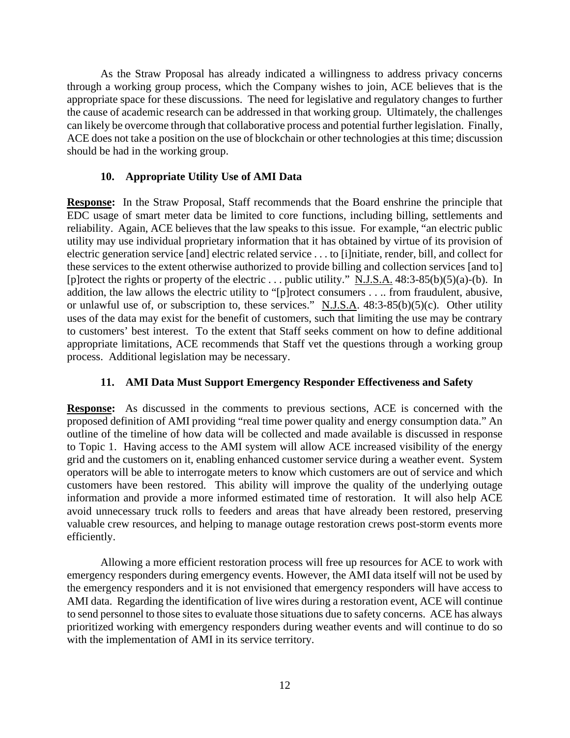As the Straw Proposal has already indicated a willingness to address privacy concerns through a working group process, which the Company wishes to join, ACE believes that is the appropriate space for these discussions. The need for legislative and regulatory changes to further the cause of academic research can be addressed in that working group. Ultimately, the challenges can likely be overcome through that collaborative process and potential further legislation. Finally, ACE does not take a position on the use of blockchain or other technologies at this time; discussion should be had in the working group.

# **10. Appropriate Utility Use of AMI Data**

**Response:** In the Straw Proposal, Staff recommends that the Board enshrine the principle that EDC usage of smart meter data be limited to core functions, including billing, settlements and reliability. Again, ACE believes that the law speaks to this issue. For example, "an electric public utility may use individual proprietary information that it has obtained by virtue of its provision of electric generation service [and] electric related service . . . to [i]nitiate, render, bill, and collect for these services to the extent otherwise authorized to provide billing and collection services [and to] [p]rotect the rights or property of the electric ... public utility."  $N.J.S.A.$  48:3-85(b)(5)(a)-(b). In addition, the law allows the electric utility to "[p]rotect consumers . . .. from fraudulent, abusive, or unlawful use of, or subscription to, these services."  $\underline{N.J.S.A.}$  48:3-85(b)(5)(c). Other utility uses of the data may exist for the benefit of customers, such that limiting the use may be contrary to customers' best interest. To the extent that Staff seeks comment on how to define additional appropriate limitations, ACE recommends that Staff vet the questions through a working group process. Additional legislation may be necessary.

# **11. AMI Data Must Support Emergency Responder Effectiveness and Safety**

**Response:** As discussed in the comments to previous sections, ACE is concerned with the proposed definition of AMI providing "real time power quality and energy consumption data." An outline of the timeline of how data will be collected and made available is discussed in response to Topic 1. Having access to the AMI system will allow ACE increased visibility of the energy grid and the customers on it, enabling enhanced customer service during a weather event. System operators will be able to interrogate meters to know which customers are out of service and which customers have been restored. This ability will improve the quality of the underlying outage information and provide a more informed estimated time of restoration. It will also help ACE avoid unnecessary truck rolls to feeders and areas that have already been restored, preserving valuable crew resources, and helping to manage outage restoration crews post-storm events more efficiently.

Allowing a more efficient restoration process will free up resources for ACE to work with emergency responders during emergency events. However, the AMI data itself will not be used by the emergency responders and it is not envisioned that emergency responders will have access to AMI data. Regarding the identification of live wires during a restoration event, ACE will continue to send personnel to those sites to evaluate those situations due to safety concerns. ACE has always prioritized working with emergency responders during weather events and will continue to do so with the implementation of AMI in its service territory.